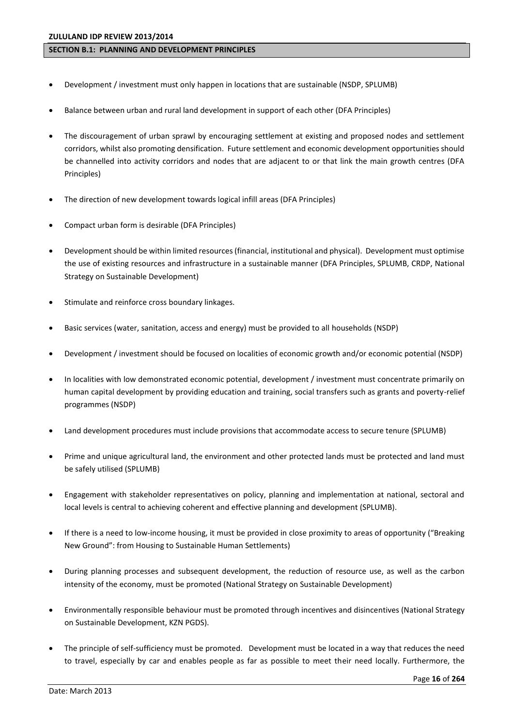### **SECTION B.1: PLANNING AND DEVELOPMENT PRINCIPLES**

- Development / investment must only happen in locations that are sustainable (NSDP, SPLUMB)
- Balance between urban and rural land development in support of each other (DFA Principles)
- The discouragement of urban sprawl by encouraging settlement at existing and proposed nodes and settlement corridors, whilst also promoting densification. Future settlement and economic development opportunities should be channelled into activity corridors and nodes that are adjacent to or that link the main growth centres (DFA Principles)
- The direction of new development towards logical infill areas (DFA Principles)
- Compact urban form is desirable (DFA Principles)
- Development should be within limited resources (financial, institutional and physical). Development must optimise the use of existing resources and infrastructure in a sustainable manner (DFA Principles, SPLUMB, CRDP, National Strategy on Sustainable Development)
- Stimulate and reinforce cross boundary linkages.
- Basic services (water, sanitation, access and energy) must be provided to all households (NSDP)
- Development / investment should be focused on localities of economic growth and/or economic potential (NSDP)
- In localities with low demonstrated economic potential, development / investment must concentrate primarily on human capital development by providing education and training, social transfers such as grants and poverty-relief programmes (NSDP)
- Land development procedures must include provisions that accommodate access to secure tenure (SPLUMB)
- Prime and unique agricultural land, the environment and other protected lands must be protected and land must be safely utilised (SPLUMB)
- Engagement with stakeholder representatives on policy, planning and implementation at national, sectoral and local levels is central to achieving coherent and effective planning and development (SPLUMB).
- If there is a need to low-income housing, it must be provided in close proximity to areas of opportunity ("Breaking New Ground": from Housing to Sustainable Human Settlements)
- During planning processes and subsequent development, the reduction of resource use, as well as the carbon intensity of the economy, must be promoted (National Strategy on Sustainable Development)
- Environmentally responsible behaviour must be promoted through incentives and disincentives (National Strategy on Sustainable Development, KZN PGDS).
- The principle of self-sufficiency must be promoted. Development must be located in a way that reduces the need to travel, especially by car and enables people as far as possible to meet their need locally. Furthermore, the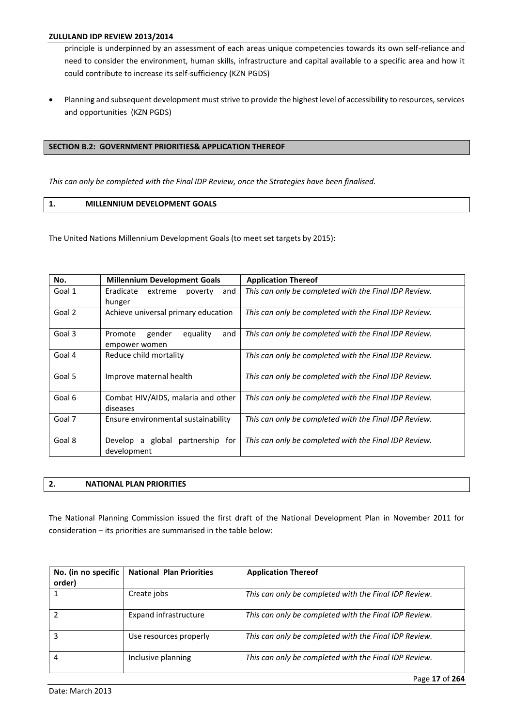principle is underpinned by an assessment of each areas unique competencies towards its own self-reliance and need to consider the environment, human skills, infrastructure and capital available to a specific area and how it could contribute to increase its self-sufficiency (KZN PGDS)

 Planning and subsequent development must strive to provide the highest level of accessibility to resources, services and opportunities (KZN PGDS)

## **SECTION B.2: GOVERNMENT PRIORITIES& APPLICATION THEREOF**

*This can only be completed with the Final IDP Review, once the Strategies have been finalised.*

### **1. MILLENNIUM DEVELOPMENT GOALS**

The United Nations Millennium Development Goals (to meet set targets by 2015):

| No.    | <b>Millennium Development Goals</b>                   | <b>Application Thereof</b>                            |
|--------|-------------------------------------------------------|-------------------------------------------------------|
| Goal 1 | Eradicate<br>extreme<br>poverty<br>and                | This can only be completed with the Final IDP Review. |
|        | hunger                                                |                                                       |
| Goal 2 | Achieve universal primary education                   | This can only be completed with the Final IDP Review. |
| Goal 3 | gender<br>equality<br>Promote<br>and<br>empower women | This can only be completed with the Final IDP Review. |
| Goal 4 | Reduce child mortality                                | This can only be completed with the Final IDP Review. |
| Goal 5 | Improve maternal health                               | This can only be completed with the Final IDP Review. |
| Goal 6 | Combat HIV/AIDS, malaria and other<br>diseases        | This can only be completed with the Final IDP Review. |
| Goal 7 | Ensure environmental sustainability                   | This can only be completed with the Final IDP Review. |
| Goal 8 | Develop a global partnership for<br>development       | This can only be completed with the Final IDP Review. |

| . PLAN PRIORITIES<br><b>NATIONAL</b> |
|--------------------------------------|
|--------------------------------------|

The National Planning Commission issued the first draft of the National Development Plan in November 2011 for  $consideration - its priorities are summarised in the table below:$ 

| No. (in no specific<br>order) | <b>National Plan Priorities</b> | <b>Application Thereof</b>                            |
|-------------------------------|---------------------------------|-------------------------------------------------------|
|                               | Create jobs                     | This can only be completed with the Final IDP Review. |
|                               | Expand infrastructure           | This can only be completed with the Final IDP Review. |
| 3                             | Use resources properly          | This can only be completed with the Final IDP Review. |
| 4                             | Inclusive planning              | This can only be completed with the Final IDP Review. |

Page **17** of **264**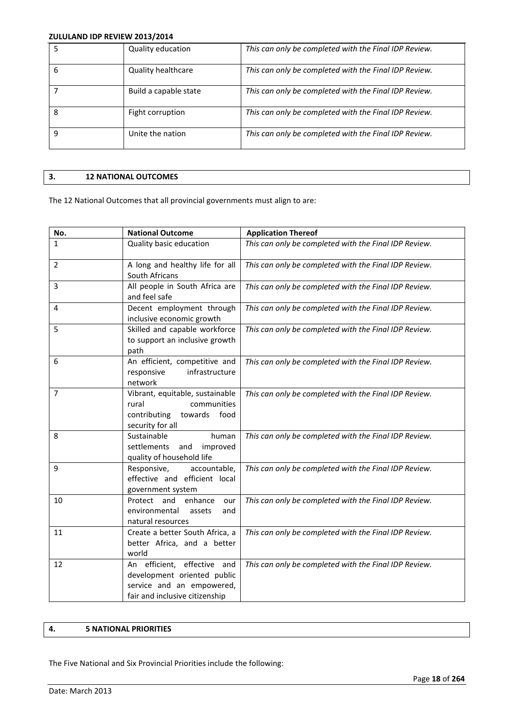|   | Quality education         | This can only be completed with the Final IDP Review. |
|---|---------------------------|-------------------------------------------------------|
| 6 | <b>Quality healthcare</b> | This can only be completed with the Final IDP Review. |
|   | Build a capable state     | This can only be completed with the Final IDP Review. |
| 8 | Fight corruption          | This can only be completed with the Final IDP Review. |
| q | Unite the nation          | This can only be completed with the Final IDP Review. |

# **3. 12 NATIONAL OUTCOMES**

The 12 National Outcomes that all provincial governments must align to are:

| No. | <b>National Outcome</b>                                                                                                   | <b>Application Thereof</b>                            |
|-----|---------------------------------------------------------------------------------------------------------------------------|-------------------------------------------------------|
| 1   | Quality basic education                                                                                                   | This can only be completed with the Final IDP Review. |
| 2   | A long and healthy life for all<br>South Africans                                                                         | This can only be completed with the Final IDP Review. |
| 3   | All people in South Africa are<br>and feel safe                                                                           | This can only be completed with the Final IDP Review. |
| 4   | Decent employment through<br>inclusive economic growth                                                                    | This can only be completed with the Final IDP Review. |
| 5   | Skilled and capable workforce<br>to support an inclusive growth<br>path                                                   | This can only be completed with the Final IDP Review. |
| 6   | An efficient, competitive and<br>infrastructure<br>responsive<br>network                                                  | This can only be completed with the Final IDP Review. |
| 7   | Vibrant, equitable, sustainable<br>communities<br>rural<br>contributing<br>food<br>towards<br>security for all            | This can only be completed with the Final IDP Review. |
| 8   | Sustainable<br>human<br>settlements<br>and<br>improved<br>quality of household life                                       | This can only be completed with the Final IDP Review. |
| 9   | Responsive,<br>accountable,<br>effective and efficient local<br>government system                                         | This can only be completed with the Final IDP Review. |
| 10  | Protect and<br>enhance<br>our<br>environmental<br>assets<br>and<br>natural resources                                      | This can only be completed with the Final IDP Review. |
| 11  | Create a better South Africa, a<br>better Africa, and a better<br>world                                                   | This can only be completed with the Final IDP Review. |
| 12  | An efficient, effective and<br>development oriented public<br>service and an empowered,<br>fair and inclusive citizenship | This can only be completed with the Final IDP Review. |

# **4. 5 NATIONAL PRIORITIES**

The Five National and Six Provincial Priorities include the following: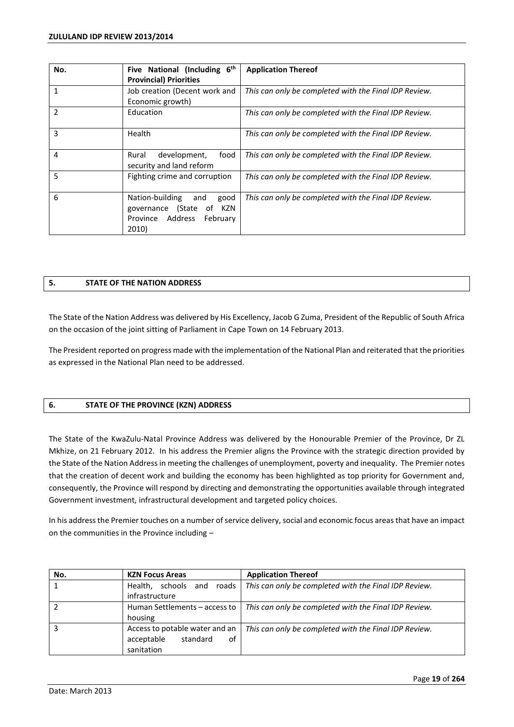| No. | Five National (Including 6 <sup>th</sup>                                                         | <b>Application Thereof</b>                            |
|-----|--------------------------------------------------------------------------------------------------|-------------------------------------------------------|
|     | <b>Provincial) Priorities</b>                                                                    |                                                       |
|     | Job creation (Decent work and<br>Economic growth)                                                | This can only be completed with the Final IDP Review. |
| 2   | Education                                                                                        | This can only be completed with the Final IDP Review. |
| 3   | Health                                                                                           | This can only be completed with the Final IDP Review. |
| 4   | food<br>development,<br>Rural<br>security and land reform                                        | This can only be completed with the Final IDP Review. |
| 5   | Fighting crime and corruption                                                                    | This can only be completed with the Final IDP Review. |
| 6   | Nation-building and<br>good<br>governance (State<br>of KZN<br>Province Address February<br>2010) | This can only be completed with the Final IDP Review. |

# **5. STATE OF THE NATION ADDRESS**

The State of the Nation Address was delivered by His Excellency, Jacob G Zuma, President of the Republic of South Africa on the occasion of the joint sitting of Parliament in Cape Town on 14 February 2013.

The President reported on progress made with the implementation of the National Plan and reiterated that the priorities as expressed in the National Plan need to be addressed.

### **6. STATE OF THE PROVINCE (KZN) ADDRESS**

The State of the KwaZulu-Natal Province Address was delivered by the Honourable Premier of the Province, Dr ZL Mkhize, on 21 February 2012. In his address the Premier aligns the Province with the strategic direction provided by the State of the Nation Address in meeting the challenges of unemployment, poverty and inequality. The Premier notes that the creation of decent work and building the economy has been highlighted as top priority for Government and, consequently, the Province will respond by directing and demonstrating the opportunities available through integrated Government investment, infrastructural development and targeted policy choices.

In his address the Premier touches on a number of service delivery, social and economic focus areas that have an impact on the communities in the Province including  $-$ 

| No. | <b>KZN Focus Areas</b>                                                       | <b>Application Thereof</b>                            |
|-----|------------------------------------------------------------------------------|-------------------------------------------------------|
|     | Health, schools and roads                                                    | This can only be completed with the Final IDP Review. |
|     | infrastructure                                                               |                                                       |
|     | Human Settlements - access to                                                | This can only be completed with the Final IDP Review. |
|     | housing                                                                      |                                                       |
|     | Access to potable water and an<br>standard<br>acceptable<br>of<br>sanitation | This can only be completed with the Final IDP Review. |